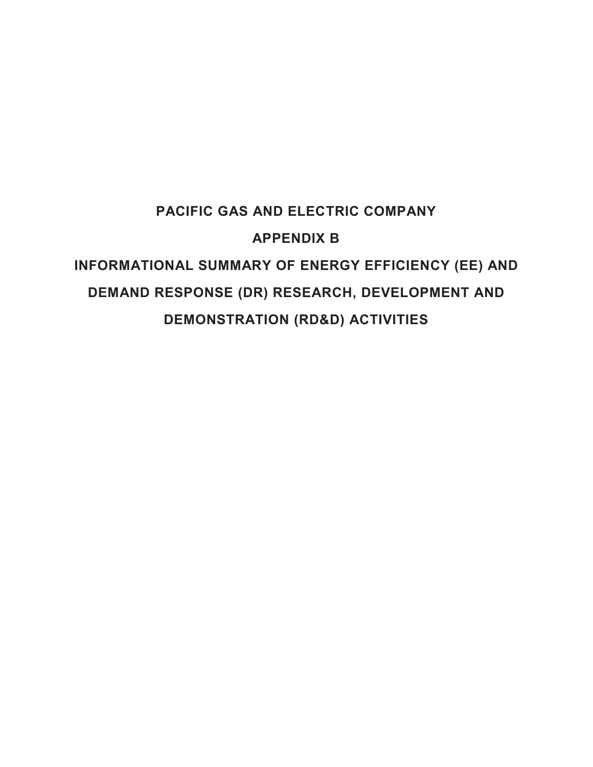# **PACIFIC GAS AND ELECTRIC COMPANY APPENDIX B INFORMATIONAL SUMMARY OF ENERGY EFFICIENCY (EE) AND DEMAND RESPONSE (DR) RESEARCH, DEVELOPMENT AND DEMONSTRATION (RD&D) ACTIVITIES**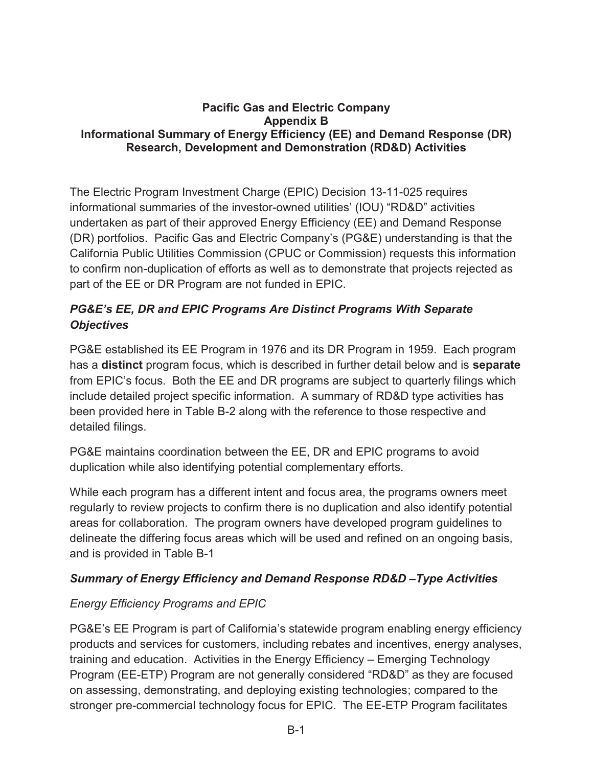### **Pacific Gas and Electric Company Appendix B Informational Summary of Energy Efficiency (EE) and Demand Response (DR) Research, Development and Demonstration (RD&D) Activities**

 part of the EE or DR Program are not funded in EPIC. The Electric Program Investment Charge (EPIC) Decision 13-11-025 requires informational summaries of the investor-owned utilities' (IOU) "RD&D" activities undertaken as part of their approved Energy Efficiency (EE) and Demand Response (DR) portfolios. Pacific Gas and Electric Company's (PG&E) understanding is that the California Public Utilities Commission (CPUC or Commission) requests this information to confirm non-duplication of efforts as well as to demonstrate that projects rejected as

# *PG&E's EE, DR and EPIC Programs Are Distinct Programs With Separate Objectives*

PG&E established its EE Program in 1976 and its DR Program in 1959. Each program has a **distinct** program focus, which is described in further detail below and is **separate**  from EPIC's focus. Both the EE and DR programs are subject to quarterly filings which include detailed project specific information. A summary of RD&D type activities has been provided here in Table B-2 along with the reference to those respective and detailed filings.

PG&E maintains coordination between the EE, DR and EPIC programs to avoid duplication while also identifying potential complementary efforts.

 areas for collaboration. The program owners have developed program guidelines to While each program has a different intent and focus area, the programs owners meet regularly to review projects to confirm there is no duplication and also identify potential delineate the differing focus areas which will be used and refined on an ongoing basis, and is provided in Table B-1

## *Summary of Energy Efficiency and Demand Response RD&D –Type Activities*

# *Energy Efficiency Programs and EPIC*

 stronger pre-commercial technology focus for EPIC. The EE-ETP Program facilitates PG&E's EE Program is part of California's statewide program enabling energy efficiency products and services for customers, including rebates and incentives, energy analyses, training and education. Activities in the Energy Efficiency – Emerging Technology Program (EE-ETP) Program are not generally considered "RD&D" as they are focused on assessing, demonstrating, and deploying existing technologies; compared to the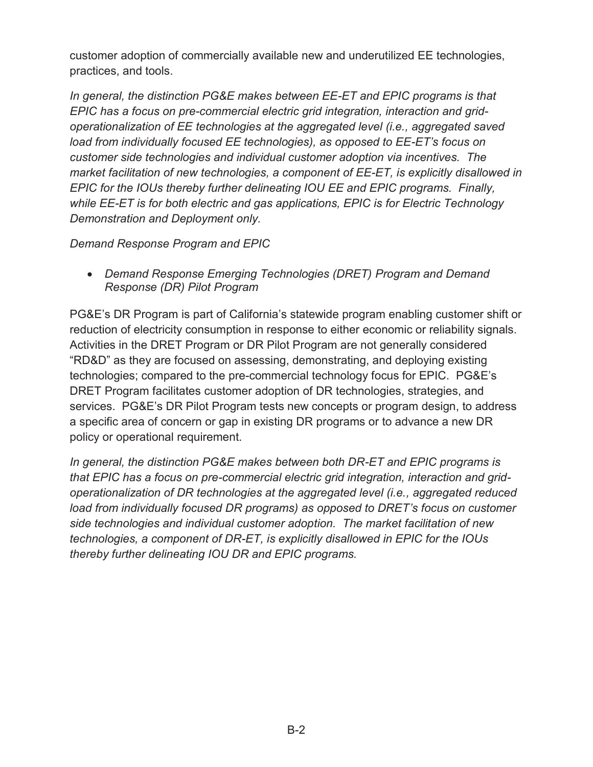practices, and tools. customer adoption of commercially available new and underutilized EE technologies,

*In general, the distinction PG&E makes between EE-ET and EPIC programs is that EPIC has a focus on pre-commercial electric grid integration, interaction and gridoperationalization of EE technologies at the aggregated level (i.e., aggregated saved load from individually focused EE technologies), as opposed to EE-ET's focus on customer side technologies and individual customer adoption via incentives. The market facilitation of new technologies, a component of EE-ET, is explicitly disallowed in EPIC for the IOUs thereby further delineating IOU EE and EPIC programs. Finally, while EE-ET is for both electric and gas applications, EPIC is for Electric Technology Demonstration and Deployment only.* 

*Demand Response Program and EPIC* 

**• Demand Response Emerging Technologies (DRET) Program and Demand** *Response (DR) Pilot Program* 

reduction of electricity consumption in response to either economic or reliability signals. PG&E's DR Program is part of California's statewide program enabling customer shift or Activities in the DRET Program or DR Pilot Program are not generally considered "RD&D" as they are focused on assessing, demonstrating, and deploying existing technologies; compared to the pre-commercial technology focus for EPIC. PG&E's DRET Program facilitates customer adoption of DR technologies, strategies, and services. PG&E's DR Pilot Program tests new concepts or program design, to address a specific area of concern or gap in existing DR programs or to advance a new DR policy or operational requirement.

*In general, the distinction PG&E makes between both DR-ET and EPIC programs is that EPIC has a focus on pre-commercial electric grid integration, interaction and gridoperationalization of DR technologies at the aggregated level (i.e., aggregated reduced load from individually focused DR programs) as opposed to DRET's focus on customer side technologies and individual customer adoption. The market facilitation of new technologies, a component of DR-ET, is explicitly disallowed in EPIC for the IOUs thereby further delineating IOU DR and EPIC programs.*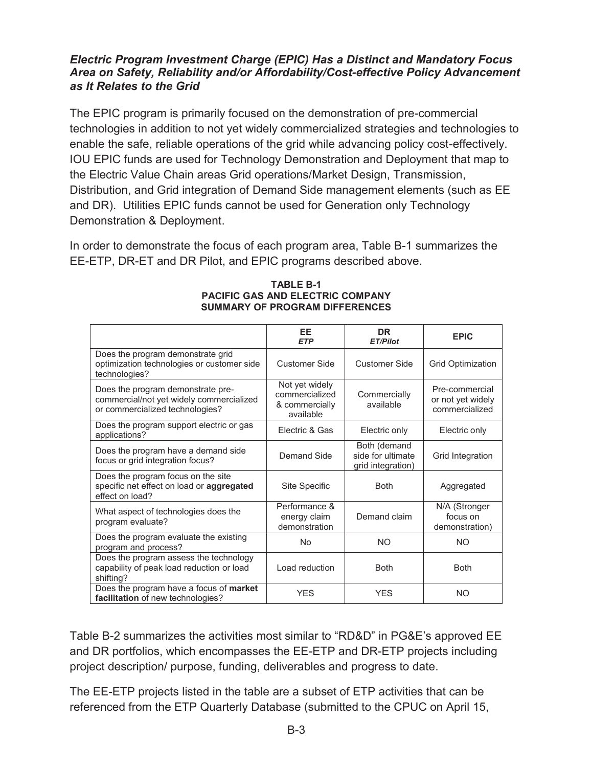## *Electric Program Investment Charge (EPIC) Has a Distinct and Mandatory Focus Area on Safety, Reliability and/or Affordability/Cost-effective Policy Advancement as It Relates to the Grid*

The EPIC program is primarily focused on the demonstration of pre-commercial technologies in addition to not yet widely commercialized strategies and technologies to enable the safe, reliable operations of the grid while advancing policy cost-effectively. IOU EPIC funds are used for Technology Demonstration and Deployment that map to the Electric Value Chain areas Grid operations/Market Design, Transmission, Distribution, and Grid integration of Demand Side management elements (such as EE and DR). Utilities EPIC funds cannot be used for Generation only Technology Demonstration & Deployment.

In order to demonstrate the focus of each program area, Table B-1 summarizes the EE-ETP, DR-ET and DR Pilot, and EPIC programs described above.

|                                                                                                                  | EE<br><b>ETP</b>                                                | <b>DR</b><br><b>ET/Pilot</b>                           | <b>EPIC</b>                                           |
|------------------------------------------------------------------------------------------------------------------|-----------------------------------------------------------------|--------------------------------------------------------|-------------------------------------------------------|
| Does the program demonstrate grid<br>optimization technologies or customer side<br>technologies?                 | Customer Side                                                   | Customer Side                                          | <b>Grid Optimization</b>                              |
| Does the program demonstrate pre-<br>commercial/not yet widely commercialized<br>or commercialized technologies? | Not yet widely<br>commercialized<br>& commercially<br>available | Commercially<br>available                              | Pre-commercial<br>or not yet widely<br>commercialized |
| Does the program support electric or gas<br>applications?                                                        | Electric & Gas                                                  | Electric only                                          | Electric only                                         |
| Does the program have a demand side<br>focus or grid integration focus?                                          | Demand Side                                                     | Both (demand<br>side for ultimate<br>grid integration) | Grid Integration                                      |
| Does the program focus on the site<br>specific net effect on load or aggregated<br>effect on load?               | Site Specific                                                   | <b>Both</b>                                            | Aggregated                                            |
| What aspect of technologies does the<br>program evaluate?                                                        | Performance &<br>energy claim<br>demonstration                  | Demand claim                                           | N/A (Stronger<br>focus on<br>demonstration)           |
| Does the program evaluate the existing<br>program and process?                                                   | <b>No</b>                                                       | NO.                                                    | <b>NO</b>                                             |
| Does the program assess the technology<br>capability of peak load reduction or load<br>shifting?                 | Load reduction                                                  | <b>Both</b>                                            | <b>Both</b>                                           |
| Does the program have a focus of <b>market</b><br>facilitation of new technologies?                              | <b>YES</b>                                                      | <b>YES</b>                                             | <b>NO</b>                                             |

#### **TABLE B-1 PACIFIC GAS AND ELECTRIC COMPANY SUMMARY OF PROGRAM DIFFERENCES**

Table B-2 summarizes the activities most similar to "RD&D" in PG&E's approved EE and DR portfolios, which encompasses the EE-ETP and DR-ETP projects including project description/ purpose, funding, deliverables and progress to date.

 The EE-ETP projects listed in the table are a subset of ETP activities that can be referenced from the ETP Quarterly Database (submitted to the CPUC on April 15,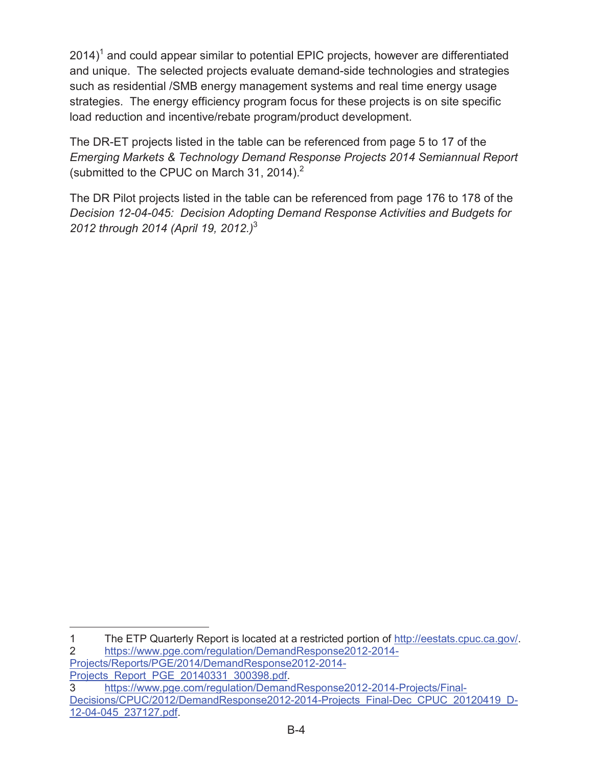2014)<sup>1</sup> and could appear similar to potential EPIC projects, however are differentiated and unique. The selected projects evaluate demand-side technologies and strategies such as residential /SMB energy management systems and real time energy usage strategies. The energy efficiency program focus for these projects is on site specific load reduction and incentive/rebate program/product development.

(submitted to the CPUC on March 31, 2014). $2$ The DR-ET projects listed in the table can be referenced from page 5 to 17 of the *Emerging Markets & Technology Demand Response Projects 2014 Semiannual Report* 

 The DR Pilot projects listed in the table can be referenced from page 176 to 178 of the *Decision 12-04-045: Decision Adopting Demand Response Activities and Budgets for 2012 through 2014 (April 19, 2012.)*<sup>3</sup>

[Projects/Reports/PGE/2014/DemandResponse2012-2014-](https://www.pge.com/regulation/DemandResponse2012-2014-Projects/Reports/PGE/2014/DemandResponse2012-2014-Projects_Report_PGE_20140331_300398.pdf) Projects\_Report\_PGE\_20140331\_300398.pdf.

 $\overline{a}$ 1 The ETP Quarterly Report is located at a restricted portion of [http://eestats.cpuc.ca.gov/](http://eestats.cpuc.ca.gov). 2 [https://www.pge.com/regulation/DemandResponse2012-2014](https://www.pge.com/regulation/DemandResponse2012-2014-Projects/Reports/PGE/2014/DemandResponse2012-2014-Projects_Report_PGE_20140331_300398.pdf)-

<sup>3</sup> [https://www.pge.com/regulation/DemandResponse2012-2014-Projects/Final](https://www.pge.com/regulation/DemandResponse2012-2014-Projects/Final-Decisions/CPUC/2012/DemandResponse2012-2014-Projects_Final-Dec_CPUC_20120419_D-12-04-045_237127.pdf)-[Decisions/CPUC/2012/DemandResponse2012-2014-Projects\\_Final-Dec\\_CPUC\\_20120419\\_D-](https://www.pge.com/regulation/DemandResponse2012-2014-Projects/Final-Decisions/CPUC/2012/DemandResponse2012-2014-Projects_Final-Dec_CPUC_20120419_D-12-04-045_237127.pdf)[12-04-045\\_237127.pdf.](https://www.pge.com/regulation/DemandResponse2012-2014-Projects/Final-Decisions/CPUC/2012/DemandResponse2012-2014-Projects_Final-Dec_CPUC_20120419_D-12-04-045_237127.pdf)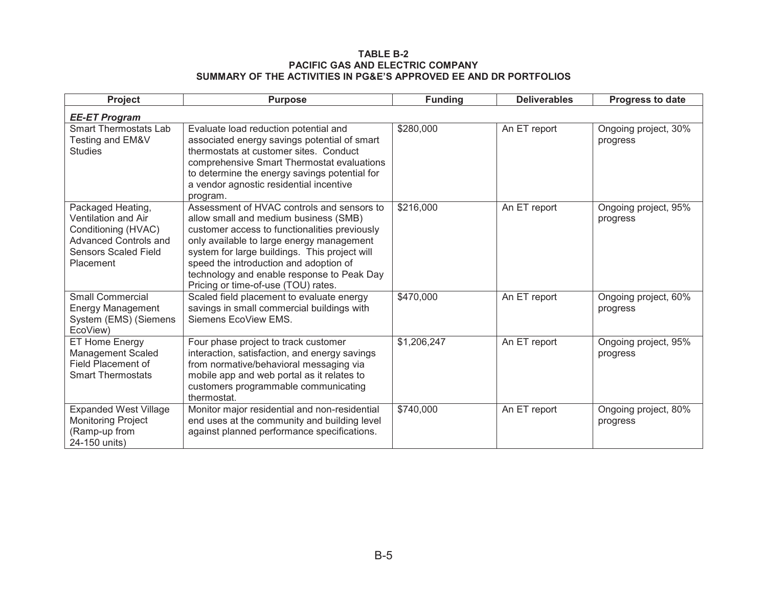#### **TABLE B-2 PACIFIC GAS AND ELECTRIC COMPANYSUMMARY OF THE ACTIVITIES IN PG&E'S APPROVED EE AND DR PORTFOLIOS**

| Project                                                                                                                                            | <b>Purpose</b>                                                                                                                                                                                                                                                                                                                                                    | <b>Funding</b> | <b>Deliverables</b> | Progress to date                 |
|----------------------------------------------------------------------------------------------------------------------------------------------------|-------------------------------------------------------------------------------------------------------------------------------------------------------------------------------------------------------------------------------------------------------------------------------------------------------------------------------------------------------------------|----------------|---------------------|----------------------------------|
| <b>EE-ET Program</b>                                                                                                                               |                                                                                                                                                                                                                                                                                                                                                                   |                |                     |                                  |
| <b>Smart Thermostats Lab</b><br>Testing and EM&V<br><b>Studies</b>                                                                                 | Evaluate load reduction potential and<br>associated energy savings potential of smart<br>thermostats at customer sites. Conduct<br>comprehensive Smart Thermostat evaluations<br>to determine the energy savings potential for<br>a vendor agnostic residential incentive<br>program.                                                                             | \$280,000      | An ET report        | Ongoing project, 30%<br>progress |
| Packaged Heating,<br><b>Ventilation and Air</b><br>Conditioning (HVAC)<br><b>Advanced Controls and</b><br><b>Sensors Scaled Field</b><br>Placement | Assessment of HVAC controls and sensors to<br>allow small and medium business (SMB)<br>customer access to functionalities previously<br>only available to large energy management<br>system for large buildings. This project will<br>speed the introduction and adoption of<br>technology and enable response to Peak Day<br>Pricing or time-of-use (TOU) rates. | \$216,000      | An ET report        | Ongoing project, 95%<br>progress |
| <b>Small Commercial</b><br><b>Energy Management</b><br>System (EMS) (Siemens<br>EcoView)                                                           | Scaled field placement to evaluate energy<br>savings in small commercial buildings with<br>Siemens EcoView EMS.                                                                                                                                                                                                                                                   | \$470,000      | An ET report        | Ongoing project, 60%<br>progress |
| ET Home Energy<br><b>Management Scaled</b><br>Field Placement of<br><b>Smart Thermostats</b>                                                       | Four phase project to track customer<br>interaction, satisfaction, and energy savings<br>from normative/behavioral messaging via<br>mobile app and web portal as it relates to<br>customers programmable communicating<br>thermostat.                                                                                                                             | \$1,206,247    | An ET report        | Ongoing project, 95%<br>progress |
| <b>Expanded West Village</b><br><b>Monitoring Project</b><br>(Ramp-up from<br>24-150 units)                                                        | Monitor major residential and non-residential<br>end uses at the community and building level<br>against planned performance specifications.                                                                                                                                                                                                                      | \$740,000      | An ET report        | Ongoing project, 80%<br>progress |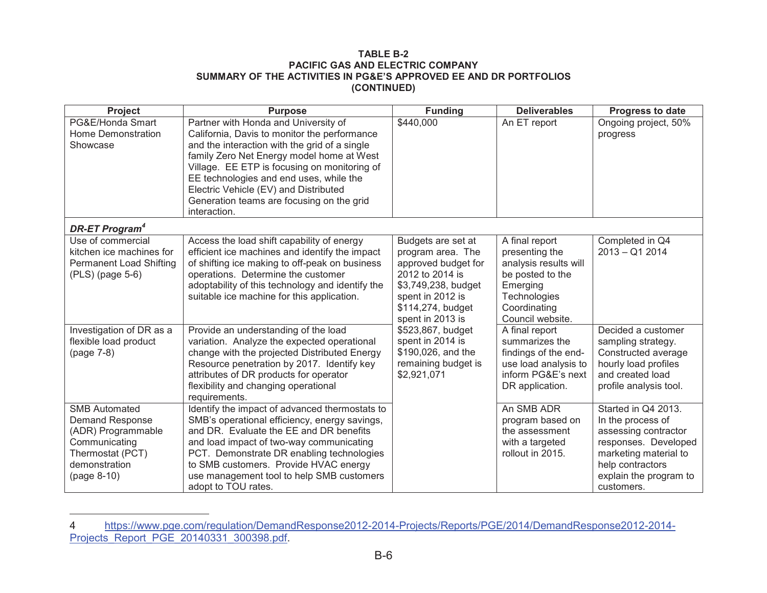#### **TABLE B-2 PACIFIC GAS AND ELECTRIC COMPANY SUMMARY OF THE ACTIVITIES IN PG&E'S APPROVED EE AND DR PORTFOLIOS(CONTINUED)**

| <b>Project</b>                                                                                                                            | <b>Purpose</b>                                                                                                                                                                                                                                                                                                                                                                      | <b>Funding</b>                                                                                                                                                                             | <b>Deliverables</b>                                                                                                                                             | Progress to date                                                                                                                                                              |
|-------------------------------------------------------------------------------------------------------------------------------------------|-------------------------------------------------------------------------------------------------------------------------------------------------------------------------------------------------------------------------------------------------------------------------------------------------------------------------------------------------------------------------------------|--------------------------------------------------------------------------------------------------------------------------------------------------------------------------------------------|-----------------------------------------------------------------------------------------------------------------------------------------------------------------|-------------------------------------------------------------------------------------------------------------------------------------------------------------------------------|
| PG&E/Honda Smart<br>Home Demonstration<br>Showcase                                                                                        | Partner with Honda and University of<br>California, Davis to monitor the performance<br>and the interaction with the grid of a single<br>family Zero Net Energy model home at West<br>Village. EE ETP is focusing on monitoring of<br>EE technologies and end uses, while the<br>Electric Vehicle (EV) and Distributed<br>Generation teams are focusing on the grid<br>interaction. | \$440,000                                                                                                                                                                                  | An ET report                                                                                                                                                    | Ongoing project, 50%<br>progress                                                                                                                                              |
| <b>DR-ET Program<sup>4</sup></b>                                                                                                          |                                                                                                                                                                                                                                                                                                                                                                                     |                                                                                                                                                                                            |                                                                                                                                                                 |                                                                                                                                                                               |
| Use of commercial<br>kitchen ice machines for<br><b>Permanent Load Shifting</b><br>(PLS) (page 5-6)<br>Investigation of DR as a           | Access the load shift capability of energy<br>efficient ice machines and identify the impact<br>of shifting ice making to off-peak on business<br>operations. Determine the customer<br>adoptability of this technology and identify the<br>suitable ice machine for this application.<br>Provide an understanding of the load                                                      | Budgets are set at<br>program area. The<br>approved budget for<br>2012 to 2014 is<br>\$3,749,238, budget<br>spent in 2012 is<br>\$114,274, budget<br>spent in 2013 is<br>\$523,867, budget | A final report<br>presenting the<br>analysis results will<br>be posted to the<br>Emerging<br>Technologies<br>Coordinating<br>Council website.<br>A final report | Completed in Q4<br>$2013 - Q12014$<br>Decided a customer                                                                                                                      |
| flexible load product<br>(page 7-8)                                                                                                       | variation. Analyze the expected operational<br>change with the projected Distributed Energy<br>Resource penetration by 2017. Identify key<br>attributes of DR products for operator<br>flexibility and changing operational<br>requirements.                                                                                                                                        | spent in 2014 is<br>\$190,026, and the<br>remaining budget is<br>\$2,921,071                                                                                                               | summarizes the<br>findings of the end-<br>use load analysis to<br>inform PG&E's next<br>DR application.                                                         | sampling strategy.<br>Constructed average<br>hourly load profiles<br>and created load<br>profile analysis tool.                                                               |
| <b>SMB Automated</b><br><b>Demand Response</b><br>(ADR) Programmable<br>Communicating<br>Thermostat (PCT)<br>demonstration<br>(page 8-10) | Identify the impact of advanced thermostats to<br>SMB's operational efficiency, energy savings,<br>and DR. Evaluate the EE and DR benefits<br>and load impact of two-way communicating<br>PCT. Demonstrate DR enabling technologies<br>to SMB customers. Provide HVAC energy<br>use management tool to help SMB customers<br>adopt to TOU rates.                                    |                                                                                                                                                                                            | An SMB ADR<br>program based on<br>the assessment<br>with a targeted<br>rollout in 2015.                                                                         | Started in Q4 2013.<br>In the process of<br>assessing contractor<br>responses. Developed<br>marketing material to<br>help contractors<br>explain the program to<br>customers. |

[https://www.pge.com/regulation/DemandResponse2012-2014-Projects/Reports/PGE/2014/DemandResponse2012-2014](https://www.pge.com/regulation/DemandResponse2012-2014-Projects/Reports/PGE/2014/DemandResponse2012-2014Projects_Report_PGE_20140331_300398.pdf)- Projects\_Report\_PGE\_20140331\_300398.pdf. 4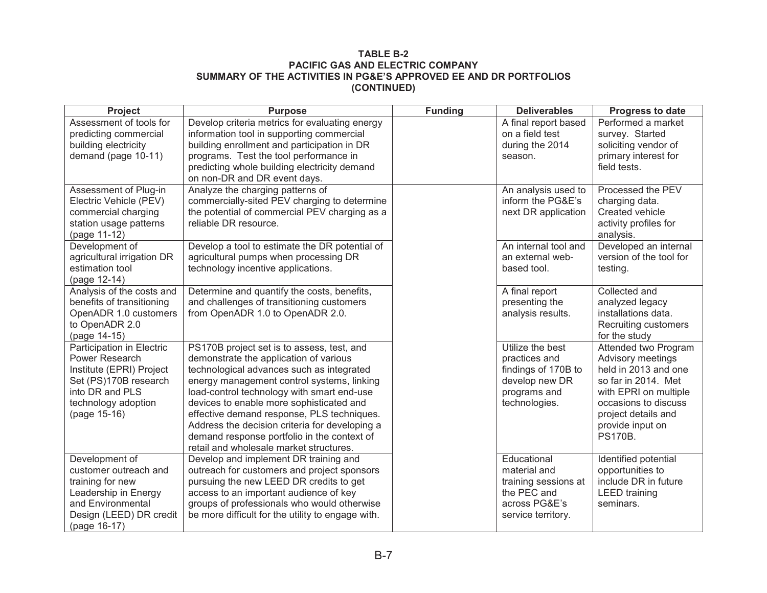#### **TABLE B-2 PACIFIC GAS AND ELECTRIC COMPANY SUMMARY OF THE ACTIVITIES IN PG&E'S APPROVED EE AND DR PORTFOLIOS (CONTINUED)**

| Project                                   | <b>Purpose</b>                                    | <b>Funding</b> | <b>Deliverables</b>  | Progress to date                      |
|-------------------------------------------|---------------------------------------------------|----------------|----------------------|---------------------------------------|
| Assessment of tools for                   | Develop criteria metrics for evaluating energy    |                | A final report based | Performed a market                    |
| predicting commercial                     | information tool in supporting commercial         |                | on a field test      | survey. Started                       |
| building electricity                      | building enrollment and participation in DR       |                | during the 2014      | soliciting vendor of                  |
| demand (page 10-11)                       | programs. Test the tool performance in            |                | season.              | primary interest for                  |
|                                           | predicting whole building electricity demand      |                |                      | field tests.                          |
|                                           | on non-DR and DR event days.                      |                |                      |                                       |
| Assessment of Plug-in                     | Analyze the charging patterns of                  |                | An analysis used to  | Processed the PEV                     |
| Electric Vehicle (PEV)                    | commercially-sited PEV charging to determine      |                | inform the PG&E's    | charging data.                        |
| commercial charging                       | the potential of commercial PEV charging as a     |                | next DR application  | Created vehicle                       |
| station usage patterns                    | reliable DR resource.                             |                |                      | activity profiles for                 |
| (page 11-12)                              |                                                   |                |                      | analysis.                             |
| Development of                            | Develop a tool to estimate the DR potential of    |                | An internal tool and | Developed an internal                 |
| agricultural irrigation DR                | agricultural pumps when processing DR             |                | an external web-     | version of the tool for               |
| estimation tool                           | technology incentive applications.                |                | based tool.          | testing.                              |
| (page 12-14)                              |                                                   |                |                      |                                       |
| Analysis of the costs and                 | Determine and quantify the costs, benefits,       |                | A final report       | Collected and                         |
| benefits of transitioning                 | and challenges of transitioning customers         |                | presenting the       | analyzed legacy                       |
| OpenADR 1.0 customers                     | from OpenADR 1.0 to OpenADR 2.0.                  |                | analysis results.    | installations data.                   |
| to OpenADR 2.0                            |                                                   |                |                      | Recruiting customers                  |
| (page 14-15)<br>Participation in Electric | PS170B project set is to assess, test, and        |                | Utilize the best     | for the study<br>Attended two Program |
| Power Research                            | demonstrate the application of various            |                | practices and        | Advisory meetings                     |
| Institute (EPRI) Project                  | technological advances such as integrated         |                | findings of 170B to  | held in 2013 and one                  |
| Set (PS)170B research                     | energy management control systems, linking        |                | develop new DR       | so far in 2014. Met                   |
| into DR and PLS                           | load-control technology with smart end-use        |                | programs and         | with EPRI on multiple                 |
| technology adoption                       | devices to enable more sophisticated and          |                | technologies.        | occasions to discuss                  |
| (page 15-16)                              | effective demand response, PLS techniques.        |                |                      | project details and                   |
|                                           | Address the decision criteria for developing a    |                |                      | provide input on                      |
|                                           | demand response portfolio in the context of       |                |                      | <b>PS170B.</b>                        |
|                                           | retail and wholesale market structures.           |                |                      |                                       |
| Development of                            | Develop and implement DR training and             |                | Educational          | Identified potential                  |
| customer outreach and                     | outreach for customers and project sponsors       |                | material and         | opportunities to                      |
| training for new                          | pursuing the new LEED DR credits to get           |                | training sessions at | include DR in future                  |
| Leadership in Energy                      | access to an important audience of key            |                | the PEC and          | <b>LEED</b> training                  |
| and Environmental                         | groups of professionals who would otherwise       |                | across PG&E's        | seminars.                             |
| Design (LEED) DR credit                   | be more difficult for the utility to engage with. |                | service territory.   |                                       |
| (page 16-17)                              |                                                   |                |                      |                                       |